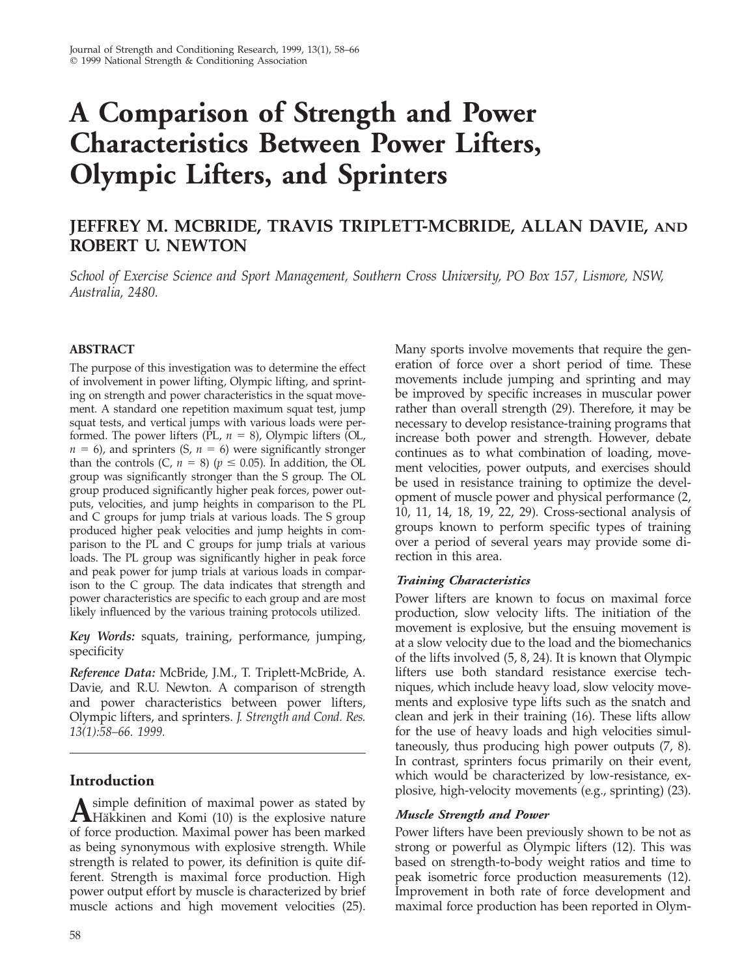# **A Comparison of Strength and Power Characteristics Between Power Lifters, Olympic Lifters, and Sprinters**

## **JEFFREY M. MCBRIDE, TRAVIS TRIPLETT-MCBRIDE, ALLAN DAVIE, AND ROBERT U. NEWTON**

*School of Exercise Science and Sport Management, Southern Cross University, PO Box 157, Lismore, NSW, Australia, 2480.*

## **ABSTRACT**

The purpose of this investigation was to determine the effect of involvement in power lifting, Olympic lifting, and sprinting on strength and power characteristics in the squat movement. A standard one repetition maximum squat test, jump squat tests, and vertical jumps with various loads were performed. The power lifters (PL,  $n = 8$ ), Olympic lifters (OL,  $n = 6$ ), and sprinters (S,  $n = 6$ ) were significantly stronger than the controls  $(C, n = 8)$  ( $p \le 0.05$ ). In addition, the OL group was significantly stronger than the S group. The OL group produced significantly higher peak forces, power outputs, velocities, and jump heights in comparison to the PL and C groups for jump trials at various loads. The S group produced higher peak velocities and jump heights in comparison to the PL and C groups for jump trials at various loads. The PL group was significantly higher in peak force and peak power for jump trials at various loads in comparison to the C group. The data indicates that strength and power characteristics are specific to each group and are most likely influenced by the various training protocols utilized.

*Key Words:* squats, training, performance, jumping, specificity

*Reference Data:* McBride, J.M., T. Triplett-McBride, A. Davie, and R.U. Newton. A comparison of strength and power characteristics between power lifters, Olympic lifters, and sprinters. *J. Strength and Cond. Res. 13(1):58–66. 1999.*

## **Introduction**

**A** simple definition of maximal power as stated by Häkkinen and Komi (10) is the explosive nature of force production. Maximal power has been marked as being synonymous with explosive strength. While strength is related to power, its definition is quite different. Strength is maximal force production. High power output effort by muscle is characterized by brief muscle actions and high movement velocities (25).

Many sports involve movements that require the generation of force over a short period of time. These movements include jumping and sprinting and may be improved by specific increases in muscular power rather than overall strength (29). Therefore, it may be necessary to develop resistance-training programs that increase both power and strength. However, debate continues as to what combination of loading, movement velocities, power outputs, and exercises should be used in resistance training to optimize the development of muscle power and physical performance (2, 10, 11, 14, 18, 19, 22, 29). Cross-sectional analysis of groups known to perform specific types of training over a period of several years may provide some direction in this area.

## *Training Characteristics*

Power lifters are known to focus on maximal force production, slow velocity lifts. The initiation of the movement is explosive, but the ensuing movement is at a slow velocity due to the load and the biomechanics of the lifts involved (5, 8, 24). It is known that Olympic lifters use both standard resistance exercise techniques, which include heavy load, slow velocity movements and explosive type lifts such as the snatch and clean and jerk in their training (16). These lifts allow for the use of heavy loads and high velocities simultaneously, thus producing high power outputs (7, 8). In contrast, sprinters focus primarily on their event, which would be characterized by low-resistance, explosive, high-velocity movements (e.g., sprinting) (23).

## *Muscle Strength and Power*

Power lifters have been previously shown to be not as strong or powerful as Olympic lifters (12). This was based on strength-to-body weight ratios and time to peak isometric force production measurements (12). Improvement in both rate of force development and maximal force production has been reported in Olym-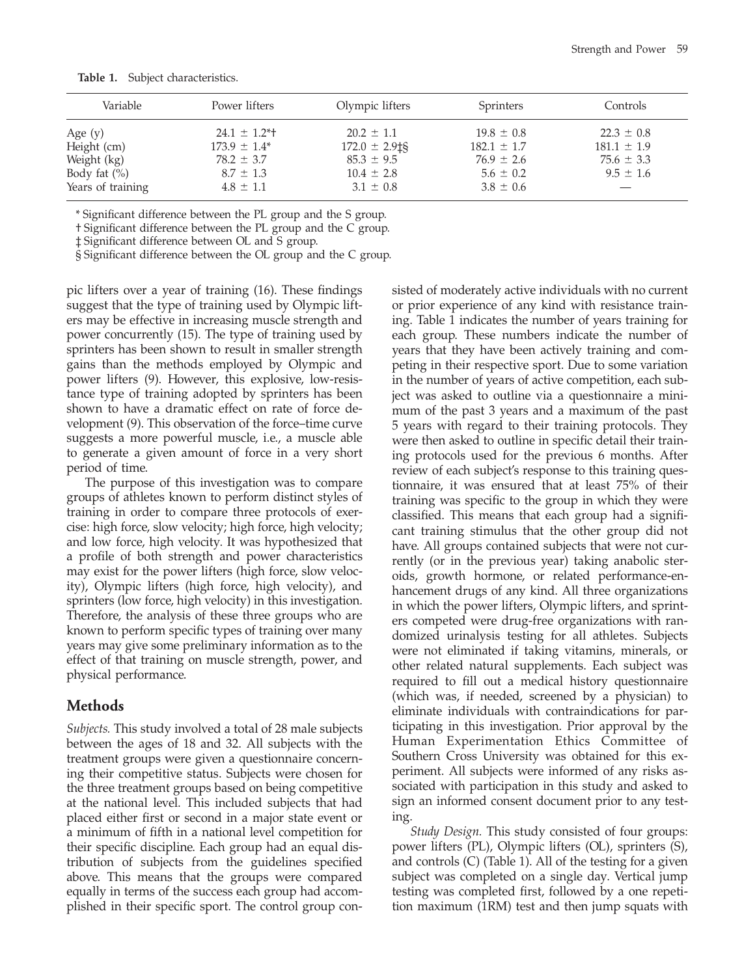| Variable          | Power lifters               | Olympic lifters    | <b>Sprinters</b> | Controls        |
|-------------------|-----------------------------|--------------------|------------------|-----------------|
| Age $(y)$         | $24.1 \pm 1.2$ <sup>*</sup> | $20.2 \pm 1.1$     | $19.8 \pm 0.8$   | $22.3 \pm 0.8$  |
| Height (cm)       | $173.9 \pm 1.4^*$           | $172.0 \pm 2.9$ ‡§ | $182.1 \pm 1.7$  | $181.1 \pm 1.9$ |
| Weight (kg)       | $78.2 \pm 3.7$              | $85.3 \pm 9.5$     | $76.9 \pm 2.6$   | $75.6 \pm 3.3$  |
| Body fat $(\% )$  | $8.7 \pm 1.3$               | $10.4 \pm 2.8$     | $5.6 \pm 0.2$    | $9.5 \pm 1.6$   |
| Years of training | $4.8 \pm 1.1$               | $3.1 \pm 0.8$      | $3.8 \pm 0.6$    |                 |

**Table 1.** Subject characteristics.

\* Significant difference between the PL group and the S group.

† Significant difference between the PL group and the C group.

‡ Significant difference between OL and S group.

§ Significant difference between the OL group and the C group.

pic lifters over a year of training (16). These findings suggest that the type of training used by Olympic lifters may be effective in increasing muscle strength and power concurrently (15). The type of training used by sprinters has been shown to result in smaller strength gains than the methods employed by Olympic and power lifters (9). However, this explosive, low-resistance type of training adopted by sprinters has been shown to have a dramatic effect on rate of force development (9). This observation of the force–time curve suggests a more powerful muscle, i.e., a muscle able to generate a given amount of force in a very short period of time.

The purpose of this investigation was to compare groups of athletes known to perform distinct styles of training in order to compare three protocols of exercise: high force, slow velocity; high force, high velocity; and low force, high velocity. It was hypothesized that a profile of both strength and power characteristics may exist for the power lifters (high force, slow velocity), Olympic lifters (high force, high velocity), and sprinters (low force, high velocity) in this investigation. Therefore, the analysis of these three groups who are known to perform specific types of training over many years may give some preliminary information as to the effect of that training on muscle strength, power, and physical performance.

## **Methods**

*Subjects.* This study involved a total of 28 male subjects between the ages of 18 and 32. All subjects with the treatment groups were given a questionnaire concerning their competitive status. Subjects were chosen for the three treatment groups based on being competitive at the national level. This included subjects that had placed either first or second in a major state event or a minimum of fifth in a national level competition for their specific discipline. Each group had an equal distribution of subjects from the guidelines specified above. This means that the groups were compared equally in terms of the success each group had accomplished in their specific sport. The control group con-

sisted of moderately active individuals with no current or prior experience of any kind with resistance training. Table 1 indicates the number of years training for each group. These numbers indicate the number of years that they have been actively training and competing in their respective sport. Due to some variation in the number of years of active competition, each subject was asked to outline via a questionnaire a minimum of the past 3 years and a maximum of the past 5 years with regard to their training protocols. They were then asked to outline in specific detail their training protocols used for the previous 6 months. After review of each subject's response to this training questionnaire, it was ensured that at least 75% of their training was specific to the group in which they were classified. This means that each group had a significant training stimulus that the other group did not have. All groups contained subjects that were not currently (or in the previous year) taking anabolic steroids, growth hormone, or related performance-enhancement drugs of any kind. All three organizations in which the power lifters, Olympic lifters, and sprinters competed were drug-free organizations with randomized urinalysis testing for all athletes. Subjects were not eliminated if taking vitamins, minerals, or other related natural supplements. Each subject was required to fill out a medical history questionnaire (which was, if needed, screened by a physician) to eliminate individuals with contraindications for participating in this investigation. Prior approval by the Human Experimentation Ethics Committee of Southern Cross University was obtained for this experiment. All subjects were informed of any risks associated with participation in this study and asked to sign an informed consent document prior to any testing.

*Study Design.* This study consisted of four groups: power lifters (PL), Olympic lifters (OL), sprinters (S), and controls (C) (Table 1). All of the testing for a given subject was completed on a single day. Vertical jump testing was completed first, followed by a one repetition maximum (1RM) test and then jump squats with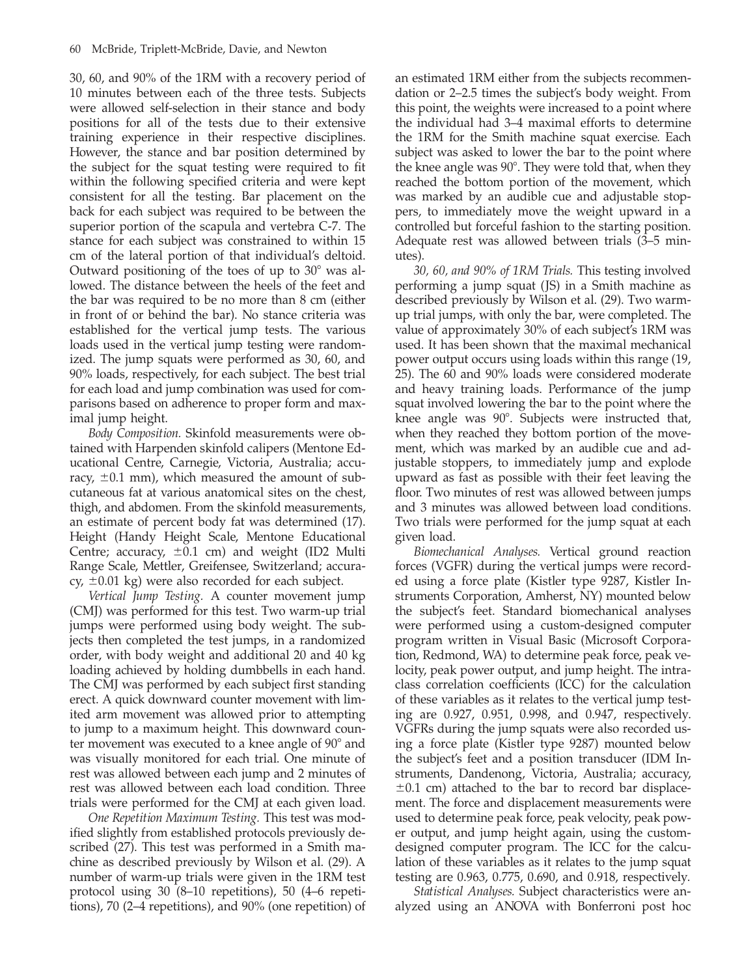30, 60, and 90% of the 1RM with a recovery period of 10 minutes between each of the three tests. Subjects were allowed self-selection in their stance and body positions for all of the tests due to their extensive training experience in their respective disciplines. However, the stance and bar position determined by the subject for the squat testing were required to fit within the following specified criteria and were kept consistent for all the testing. Bar placement on the back for each subject was required to be between the superior portion of the scapula and vertebra C-7. The stance for each subject was constrained to within 15 cm of the lateral portion of that individual's deltoid. Outward positioning of the toes of up to  $30^{\circ}$  was allowed. The distance between the heels of the feet and the bar was required to be no more than 8 cm (either in front of or behind the bar). No stance criteria was established for the vertical jump tests. The various loads used in the vertical jump testing were randomized. The jump squats were performed as 30, 60, and 90% loads, respectively, for each subject. The best trial for each load and jump combination was used for comparisons based on adherence to proper form and maximal jump height.

*Body Composition.* Skinfold measurements were obtained with Harpenden skinfold calipers (Mentone Educational Centre, Carnegie, Victoria, Australia; accuracy,  $\pm 0.1$  mm), which measured the amount of subcutaneous fat at various anatomical sites on the chest, thigh, and abdomen. From the skinfold measurements, an estimate of percent body fat was determined (17). Height (Handy Height Scale, Mentone Educational Centre; accuracy,  $\pm 0.1$  cm) and weight (ID2 Multi Range Scale, Mettler, Greifensee, Switzerland; accuracy,  $\pm 0.01$  kg) were also recorded for each subject.

*Vertical Jump Testing.* A counter movement jump (CMJ) was performed for this test. Two warm-up trial jumps were performed using body weight. The subjects then completed the test jumps, in a randomized order, with body weight and additional 20 and 40 kg loading achieved by holding dumbbells in each hand. The CMJ was performed by each subject first standing erect. A quick downward counter movement with limited arm movement was allowed prior to attempting to jump to a maximum height. This downward counter movement was executed to a knee angle of  $90^{\circ}$  and was visually monitored for each trial. One minute of rest was allowed between each jump and 2 minutes of rest was allowed between each load condition. Three trials were performed for the CMJ at each given load.

*One Repetition Maximum Testing.* This test was modified slightly from established protocols previously described (27). This test was performed in a Smith machine as described previously by Wilson et al. (29). A number of warm-up trials were given in the 1RM test protocol using 30 (8–10 repetitions), 50 (4–6 repetitions), 70 (2–4 repetitions), and 90% (one repetition) of an estimated 1RM either from the subjects recommendation or 2–2.5 times the subject's body weight. From this point, the weights were increased to a point where the individual had 3–4 maximal efforts to determine the 1RM for the Smith machine squat exercise. Each subject was asked to lower the bar to the point where the knee angle was  $90^\circ$ . They were told that, when they reached the bottom portion of the movement, which was marked by an audible cue and adjustable stoppers, to immediately move the weight upward in a controlled but forceful fashion to the starting position. Adequate rest was allowed between trials (3–5 minutes).

*30, 60, and 90% of 1RM Trials.* This testing involved performing a jump squat (JS) in a Smith machine as described previously by Wilson et al. (29). Two warmup trial jumps, with only the bar, were completed. The value of approximately 30% of each subject's 1RM was used. It has been shown that the maximal mechanical power output occurs using loads within this range (19, 25). The 60 and 90% loads were considered moderate and heavy training loads. Performance of the jump squat involved lowering the bar to the point where the knee angle was 90°. Subjects were instructed that, when they reached they bottom portion of the movement, which was marked by an audible cue and adjustable stoppers, to immediately jump and explode upward as fast as possible with their feet leaving the floor. Two minutes of rest was allowed between jumps and 3 minutes was allowed between load conditions. Two trials were performed for the jump squat at each given load.

*Biomechanical Analyses.* Vertical ground reaction forces (VGFR) during the vertical jumps were recorded using a force plate (Kistler type 9287, Kistler Instruments Corporation, Amherst, NY) mounted below the subject's feet. Standard biomechanical analyses were performed using a custom-designed computer program written in Visual Basic (Microsoft Corporation, Redmond, WA) to determine peak force, peak velocity, peak power output, and jump height. The intraclass correlation coefficients (ICC) for the calculation of these variables as it relates to the vertical jump testing are 0.927, 0.951, 0.998, and 0.947, respectively. VGFRs during the jump squats were also recorded using a force plate (Kistler type 9287) mounted below the subject's feet and a position transducer (IDM Instruments, Dandenong, Victoria, Australia; accuracy,  $\pm 0.1$  cm) attached to the bar to record bar displacement. The force and displacement measurements were used to determine peak force, peak velocity, peak power output, and jump height again, using the customdesigned computer program. The ICC for the calculation of these variables as it relates to the jump squat testing are 0.963, 0.775, 0.690, and 0.918, respectively.

*Statistical Analyses.* Subject characteristics were analyzed using an ANOVA with Bonferroni post hoc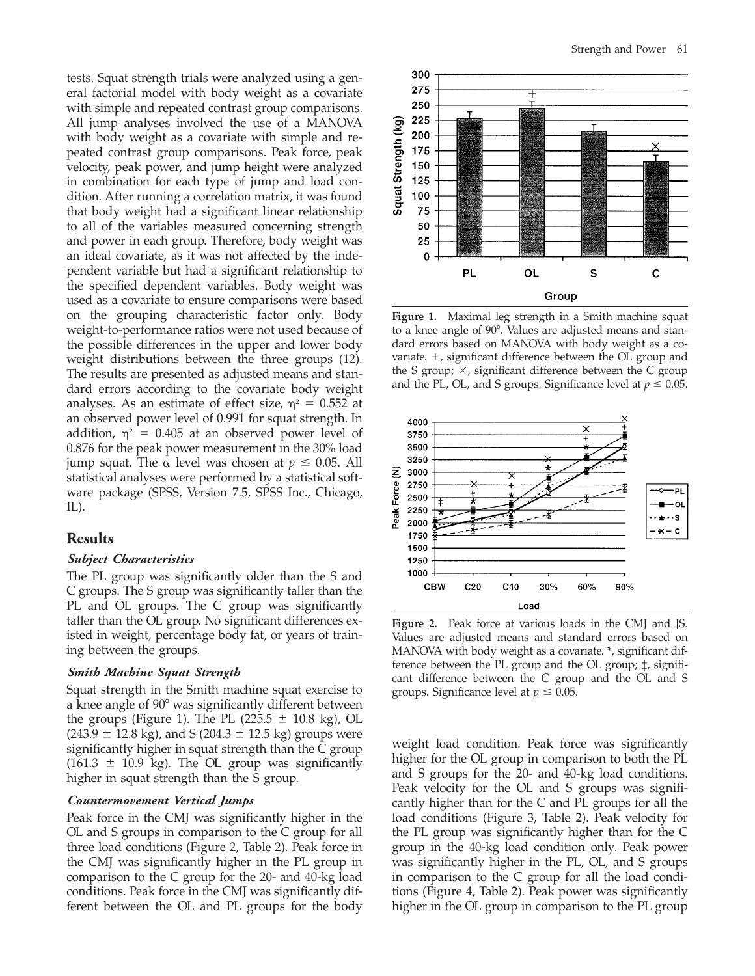tests. Squat strength trials were analyzed using a general factorial model with body weight as a covariate with simple and repeated contrast group comparisons. All jump analyses involved the use of a MANOVA with body weight as a covariate with simple and repeated contrast group comparisons. Peak force, peak velocity, peak power, and jump height were analyzed in combination for each type of jump and load condition. After running a correlation matrix, it was found that body weight had a significant linear relationship to all of the variables measured concerning strength and power in each group. Therefore, body weight was an ideal covariate, as it was not affected by the independent variable but had a significant relationship to the specified dependent variables. Body weight was used as a covariate to ensure comparisons were based on the grouping characteristic factor only. Body weight-to-performance ratios were not used because of the possible differences in the upper and lower body weight distributions between the three groups (12). The results are presented as adjusted means and standard errors according to the covariate body weight analyses. As an estimate of effect size,  $\eta^2 = 0.552$  at an observed power level of 0.991 for squat strength. In addition,  $\eta^2$  = 0.405 at an observed power level of 0.876 for the peak power measurement in the 30% load jump squat. The  $\alpha$  level was chosen at  $p \leq 0.05$ . All statistical analyses were performed by a statistical software package (SPSS, Version 7.5, SPSS Inc., Chicago, IL).

## **Results**

#### *Subject Characteristics*

The PL group was significantly older than the S and C groups. The S group was significantly taller than the PL and OL groups. The C group was significantly taller than the OL group. No significant differences existed in weight, percentage body fat, or years of training between the groups.

#### *Smith Machine Squat Strength*

Squat strength in the Smith machine squat exercise to a knee angle of 90° was significantly different between the groups (Figure 1). The PL (225.5  $\pm$  10.8 kg), OL  $(243.9 \pm 12.8 \text{ kg})$ , and S (204.3  $\pm$  12.5 kg) groups were significantly higher in squat strength than the C group  $(161.3 \pm 10.9 \text{ kg})$ . The OL group was significantly higher in squat strength than the S group.

## *Countermovement Vertical Jumps*

Peak force in the CMJ was significantly higher in the OL and S groups in comparison to the C group for all three load conditions (Figure 2, Table 2). Peak force in the CMJ was significantly higher in the PL group in comparison to the C group for the 20- and 40-kg load conditions. Peak force in the CMJ was significantly different between the OL and PL groups for the body



**Figure 1.** Maximal leg strength in a Smith machine squat to a knee angle of 90°. Values are adjusted means and standard errors based on MANOVA with body weight as a covariate.  $+$ , significant difference between the OL group and the S group;  $\times$ , significant difference between the C group and the PL, OL, and S groups. Significance level at  $p \le 0.05$ .



**Figure 2.** Peak force at various loads in the CMJ and JS. Values are adjusted means and standard errors based on MANOVA with body weight as a covariate. \*, significant difference between the PL group and the OL group; ‡, significant difference between the C group and the OL and S groups. Significance level at  $p \leq 0.05$ .

weight load condition. Peak force was significantly higher for the OL group in comparison to both the PL and S groups for the 20- and 40-kg load conditions. Peak velocity for the OL and S groups was significantly higher than for the C and PL groups for all the load conditions (Figure 3, Table 2). Peak velocity for the PL group was significantly higher than for the C group in the 40-kg load condition only. Peak power was significantly higher in the PL, OL, and S groups in comparison to the C group for all the load conditions (Figure 4, Table 2). Peak power was significantly higher in the OL group in comparison to the PL group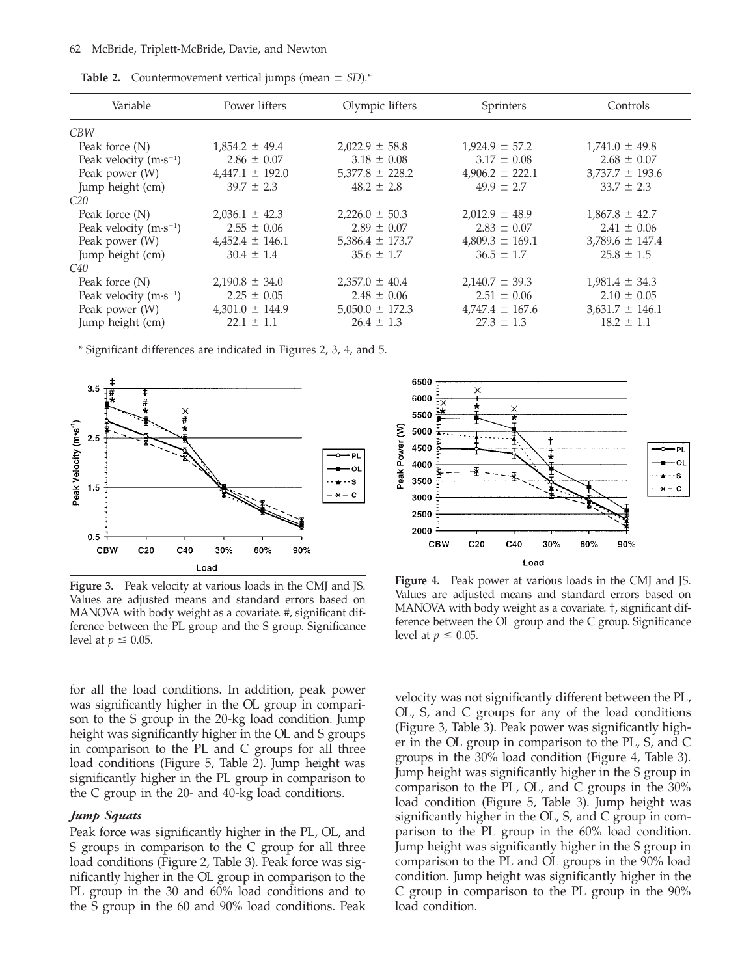#### 62 McBride, Triplett-McBride, Davie, and Newton

| Variable                         | Power lifters       | Olympic lifters     | Sprinters           | Controls            |
|----------------------------------|---------------------|---------------------|---------------------|---------------------|
| <b>CBW</b>                       |                     |                     |                     |                     |
| Peak force (N)                   | $1,854.2 \pm 49.4$  | $2,022.9 \pm 58.8$  | $1,924.9 \pm 57.2$  | $1,741.0 \pm 49.8$  |
| Peak velocity $(m \cdot s^{-1})$ | $2.86 \pm 0.07$     | $3.18 \pm 0.08$     | $3.17 \pm 0.08$     | $2.68 \pm 0.07$     |
| Peak power (W)                   | $4,447.1 \pm 192.0$ | $5,377.8 \pm 228.2$ | $4,906.2 \pm 222.1$ | $3,737.7 \pm 193.6$ |
| Jump height (cm)                 | $39.7 \pm 2.3$      | $48.2 \pm 2.8$      | $49.9 \pm 2.7$      | $33.7 \pm 2.3$      |
| C20                              |                     |                     |                     |                     |
| Peak force (N)                   | $2,036.1 \pm 42.3$  | $2,226.0 \pm 50.3$  | $2,012.9 \pm 48.9$  | $1,867.8 \pm 42.7$  |
| Peak velocity $(m \cdot s^{-1})$ | $2.55 \pm 0.06$     | $2.89 \pm 0.07$     | $2.83 \pm 0.07$     | $2.41 \pm 0.06$     |
| Peak power (W)                   | $4,452.4 \pm 146.1$ | $5,386.4 \pm 173.7$ | $4,809.3 \pm 169.1$ | $3,789.6 \pm 147.4$ |
| Jump height (cm)                 | $30.4 \pm 1.4$      | $35.6 \pm 1.7$      | $36.5 \pm 1.7$      | $25.8 \pm 1.5$      |
| C40                              |                     |                     |                     |                     |
| Peak force (N)                   | $2,190.8 \pm 34.0$  | $2,357.0 \pm 40.4$  | $2,140.7 \pm 39.3$  | $1,981.4 \pm 34.3$  |
| Peak velocity $(m \cdot s^{-1})$ | $2.25 \pm 0.05$     | $2.48 \pm 0.06$     | $2.51 \pm 0.06$     | $2.10 \pm 0.05$     |
| Peak power (W)                   | $4,301.0 \pm 144.9$ | $5,050.0 \pm 172.3$ | $4,747.4 \pm 167.6$ | $3,631.7 \pm 146.1$ |
| Jump height (cm)                 | $22.1 \pm 1.1$      | $26.4 \pm 1.3$      | $27.3 \pm 1.3$      | $18.2 \pm 1.1$      |
|                                  |                     |                     |                     |                     |

**Table 2.** Countermovement vertical jumps (mean  $\pm$  *SD*).\*

\* Significant differences are indicated in Figures 2, 3, 4, and 5.



**Figure 3.** Peak velocity at various loads in the CMJ and JS. Values are adjusted means and standard errors based on MANOVA with body weight as a covariate. #, significant difference between the PL group and the S group. Significance level at  $p \leq 0.05$ .

for all the load conditions. In addition, peak power was significantly higher in the OL group in comparison to the S group in the 20-kg load condition. Jump height was significantly higher in the OL and S groups in comparison to the PL and C groups for all three load conditions (Figure 5, Table 2). Jump height was significantly higher in the PL group in comparison to the C group in the 20- and 40-kg load conditions.

#### *Jump Squats*

Peak force was significantly higher in the PL, OL, and S groups in comparison to the C group for all three load conditions (Figure 2, Table 3). Peak force was significantly higher in the OL group in comparison to the PL group in the 30 and 60% load conditions and to the S group in the 60 and 90% load conditions. Peak



**Figure 4.** Peak power at various loads in the CMJ and JS. Values are adjusted means and standard errors based on MANOVA with body weight as a covariate. †, significant difference between the OL group and the C group. Significance level at  $p \leq 0.05$ .

velocity was not significantly different between the PL, OL, S, and C groups for any of the load conditions (Figure 3, Table 3). Peak power was significantly higher in the OL group in comparison to the PL, S, and C groups in the 30% load condition (Figure 4, Table 3). Jump height was significantly higher in the S group in comparison to the PL, OL, and C groups in the 30% load condition (Figure 5, Table 3). Jump height was significantly higher in the OL, S, and C group in comparison to the PL group in the 60% load condition. Jump height was significantly higher in the S group in comparison to the PL and OL groups in the 90% load condition. Jump height was significantly higher in the C group in comparison to the PL group in the 90% load condition.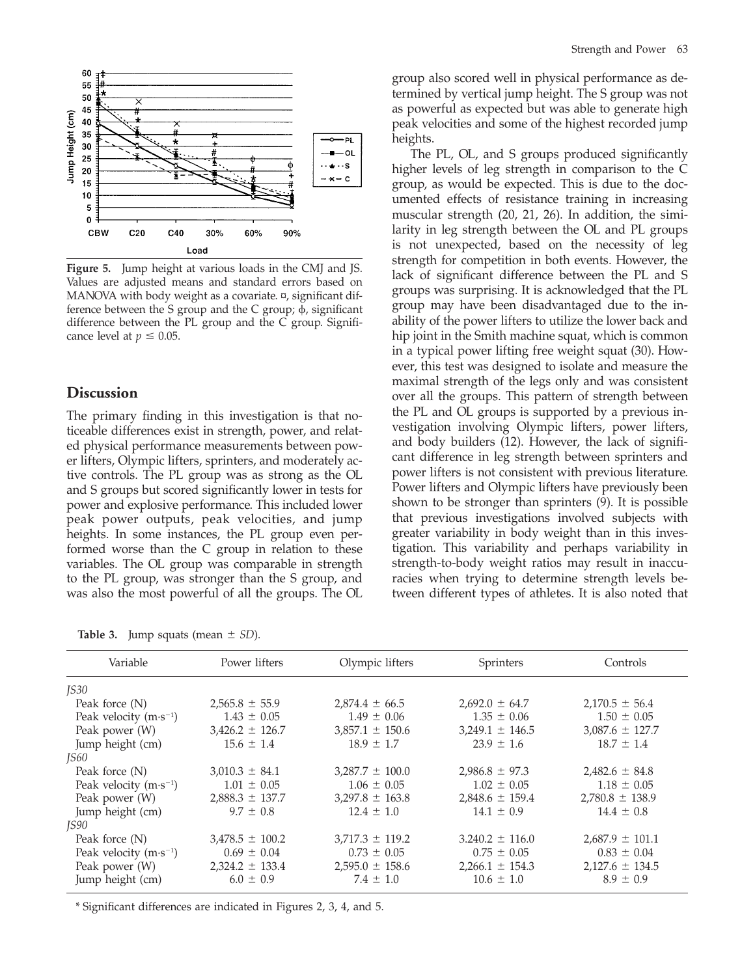

**Figure 5.** Jump height at various loads in the CMJ and JS. Values are adjusted means and standard errors based on MANOVA with body weight as a covariate.  $\sigma$ , significant difference between the S group and the C group;  $\phi$ , significant difference between the PL group and the C group. Significance level at  $p \leq 0.05$ .

## **Discussion**

The primary finding in this investigation is that noticeable differences exist in strength, power, and related physical performance measurements between power lifters, Olympic lifters, sprinters, and moderately active controls. The PL group was as strong as the OL and S groups but scored significantly lower in tests for power and explosive performance. This included lower peak power outputs, peak velocities, and jump heights. In some instances, the PL group even performed worse than the C group in relation to these variables. The OL group was comparable in strength to the PL group, was stronger than the S group, and was also the most powerful of all the groups. The OL

**Table 3.** Jump squats (mean  $\pm$  *SD*).

group also scored well in physical performance as determined by vertical jump height. The S group was not as powerful as expected but was able to generate high peak velocities and some of the highest recorded jump heights.

The PL, OL, and S groups produced significantly higher levels of leg strength in comparison to the C group, as would be expected. This is due to the documented effects of resistance training in increasing muscular strength (20, 21, 26). In addition, the similarity in leg strength between the OL and PL groups is not unexpected, based on the necessity of leg strength for competition in both events. However, the lack of significant difference between the PL and S groups was surprising. It is acknowledged that the PL group may have been disadvantaged due to the inability of the power lifters to utilize the lower back and hip joint in the Smith machine squat, which is common in a typical power lifting free weight squat (30). However, this test was designed to isolate and measure the maximal strength of the legs only and was consistent over all the groups. This pattern of strength between the PL and OL groups is supported by a previous investigation involving Olympic lifters, power lifters, and body builders (12). However, the lack of significant difference in leg strength between sprinters and power lifters is not consistent with previous literature. Power lifters and Olympic lifters have previously been shown to be stronger than sprinters (9). It is possible that previous investigations involved subjects with greater variability in body weight than in this investigation. This variability and perhaps variability in strength-to-body weight ratios may result in inaccuracies when trying to determine strength levels between different types of athletes. It is also noted that

| Controls            | <b>Sprinters</b>    | Olympic lifters     | Power lifters       | Variable                                                                                                   |
|---------------------|---------------------|---------------------|---------------------|------------------------------------------------------------------------------------------------------------|
|                     |                     |                     |                     | JS30                                                                                                       |
| $2,170.5 \pm 56.4$  | $2,692.0 \pm 64.7$  | $2,874.4 \pm 66.5$  | $2,565.8 \pm 55.9$  | Peak force $(N)$                                                                                           |
| $1.50 \pm 0.05$     | $1.35 \pm 0.06$     | $1.49 \pm 0.06$     | $1.43 \pm 0.05$     |                                                                                                            |
| $3,087.6 \pm 127.7$ | $3,249.1 \pm 146.5$ | $3,857.1 \pm 150.6$ | $3,426.2 \pm 126.7$ |                                                                                                            |
| $18.7 \pm 1.4$      | $23.9 \pm 1.6$      | $18.9 \pm 1.7$      | $15.6 \pm 1.4$      |                                                                                                            |
|                     |                     |                     |                     | IS60                                                                                                       |
| $2,482.6 \pm 84.8$  | $2,986.8 \pm 97.3$  | $3,287.7 \pm 100.0$ | $3,010.3 \pm 84.1$  | Peak force (N)                                                                                             |
| $1.18 \pm 0.05$     | $1.02 \pm 0.05$     | $1.06 \pm 0.05$     | $1.01 \pm 0.05$     |                                                                                                            |
| $2,780.8 \pm 138.9$ | $2,848.6 \pm 159.4$ | $3,297.8 \pm 163.8$ | $2,888.3 \pm 137.7$ | Peak power (W)                                                                                             |
| $14.4 \pm 0.8$      | $14.1 \pm 0.9$      | $12.4 \pm 1.0$      | $9.7 \pm 0.8$       | Jump height (cm)                                                                                           |
|                     |                     |                     |                     | <i>IS90</i>                                                                                                |
| $2,687.9 \pm 101.1$ | $3.240.2 \pm 116.0$ | $3,717.3 \pm 119.2$ | $3,478.5 \pm 100.2$ | Peak force $(N)$                                                                                           |
| $0.83 \pm 0.04$     | $0.75 \pm 0.05$     | $0.73 \pm 0.05$     | $0.69 \pm 0.04$     | Peak velocity $(m \cdot s^{-1})$                                                                           |
| $2,127.6 \pm 134.5$ | $2,266.1 \pm 154.3$ | $2,595.0 \pm 158.6$ | $2,324.2 \pm 133.4$ | Peak power (W)                                                                                             |
| $8.9 \pm 0.9$       | $10.6 \pm 1.0$      | $7.4 \pm 1.0$       | $6.0 \pm 0.9$       | Jump height (cm)                                                                                           |
|                     |                     |                     |                     | Peak velocity $(m \cdot s^{-1})$<br>Peak power (W)<br>Jump height (cm)<br>Peak velocity $(m \cdot s^{-1})$ |

\* Significant differences are indicated in Figures 2, 3, 4, and 5.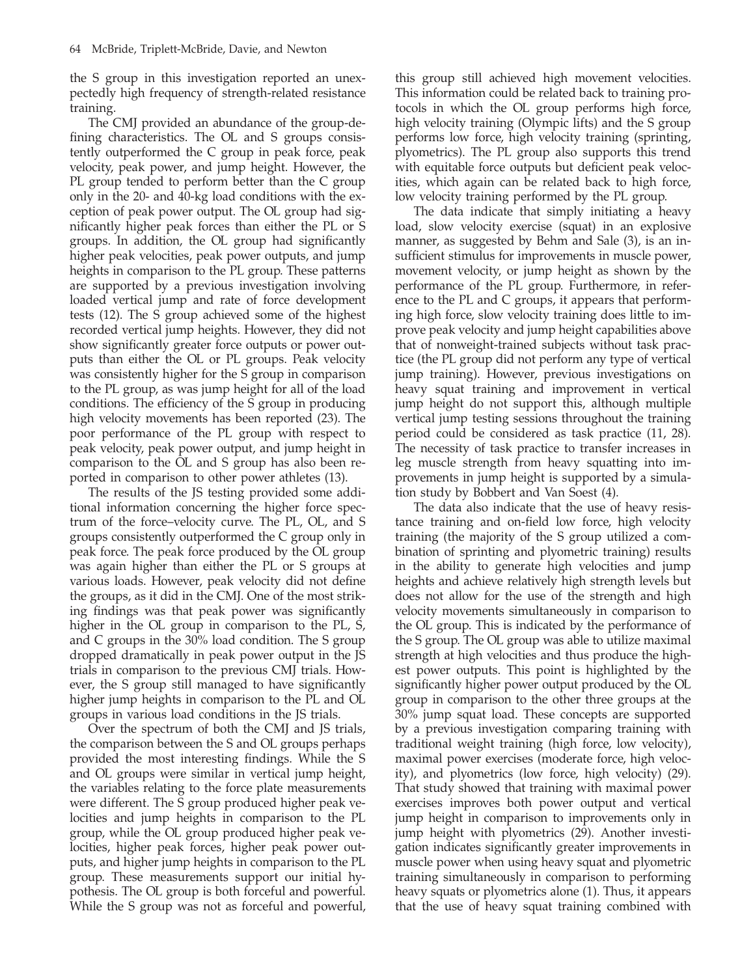the S group in this investigation reported an unexpectedly high frequency of strength-related resistance training.

The CMJ provided an abundance of the group-defining characteristics. The OL and S groups consistently outperformed the C group in peak force, peak velocity, peak power, and jump height. However, the PL group tended to perform better than the C group only in the 20- and 40-kg load conditions with the exception of peak power output. The OL group had significantly higher peak forces than either the PL or S groups. In addition, the OL group had significantly higher peak velocities, peak power outputs, and jump heights in comparison to the PL group. These patterns are supported by a previous investigation involving loaded vertical jump and rate of force development tests (12). The S group achieved some of the highest recorded vertical jump heights. However, they did not show significantly greater force outputs or power outputs than either the OL or PL groups. Peak velocity was consistently higher for the S group in comparison to the PL group, as was jump height for all of the load conditions. The efficiency of the S group in producing high velocity movements has been reported (23). The poor performance of the PL group with respect to peak velocity, peak power output, and jump height in comparison to the OL and S group has also been reported in comparison to other power athletes (13).

The results of the JS testing provided some additional information concerning the higher force spectrum of the force–velocity curve. The PL, OL, and S groups consistently outperformed the C group only in peak force. The peak force produced by the OL group was again higher than either the PL or S groups at various loads. However, peak velocity did not define the groups, as it did in the CMJ. One of the most striking findings was that peak power was significantly higher in the OL group in comparison to the PL, S, and C groups in the 30% load condition. The S group dropped dramatically in peak power output in the JS trials in comparison to the previous CMJ trials. However, the S group still managed to have significantly higher jump heights in comparison to the PL and OL groups in various load conditions in the JS trials.

Over the spectrum of both the CMJ and JS trials, the comparison between the S and OL groups perhaps provided the most interesting findings. While the S and OL groups were similar in vertical jump height, the variables relating to the force plate measurements were different. The S group produced higher peak velocities and jump heights in comparison to the PL group, while the OL group produced higher peak velocities, higher peak forces, higher peak power outputs, and higher jump heights in comparison to the PL group. These measurements support our initial hypothesis. The OL group is both forceful and powerful. While the S group was not as forceful and powerful, this group still achieved high movement velocities. This information could be related back to training protocols in which the OL group performs high force, high velocity training (Olympic lifts) and the S group performs low force, high velocity training (sprinting, plyometrics). The PL group also supports this trend with equitable force outputs but deficient peak velocities, which again can be related back to high force, low velocity training performed by the PL group.

The data indicate that simply initiating a heavy load, slow velocity exercise (squat) in an explosive manner, as suggested by Behm and Sale (3), is an insufficient stimulus for improvements in muscle power, movement velocity, or jump height as shown by the performance of the PL group. Furthermore, in reference to the PL and C groups, it appears that performing high force, slow velocity training does little to improve peak velocity and jump height capabilities above that of nonweight-trained subjects without task practice (the PL group did not perform any type of vertical jump training). However, previous investigations on heavy squat training and improvement in vertical jump height do not support this, although multiple vertical jump testing sessions throughout the training period could be considered as task practice (11, 28). The necessity of task practice to transfer increases in leg muscle strength from heavy squatting into improvements in jump height is supported by a simulation study by Bobbert and Van Soest (4).

The data also indicate that the use of heavy resistance training and on-field low force, high velocity training (the majority of the S group utilized a combination of sprinting and plyometric training) results in the ability to generate high velocities and jump heights and achieve relatively high strength levels but does not allow for the use of the strength and high velocity movements simultaneously in comparison to the OL group. This is indicated by the performance of the S group. The OL group was able to utilize maximal strength at high velocities and thus produce the highest power outputs. This point is highlighted by the significantly higher power output produced by the OL group in comparison to the other three groups at the 30% jump squat load. These concepts are supported by a previous investigation comparing training with traditional weight training (high force, low velocity), maximal power exercises (moderate force, high velocity), and plyometrics (low force, high velocity) (29). That study showed that training with maximal power exercises improves both power output and vertical jump height in comparison to improvements only in jump height with plyometrics (29). Another investigation indicates significantly greater improvements in muscle power when using heavy squat and plyometric training simultaneously in comparison to performing heavy squats or plyometrics alone (1). Thus, it appears that the use of heavy squat training combined with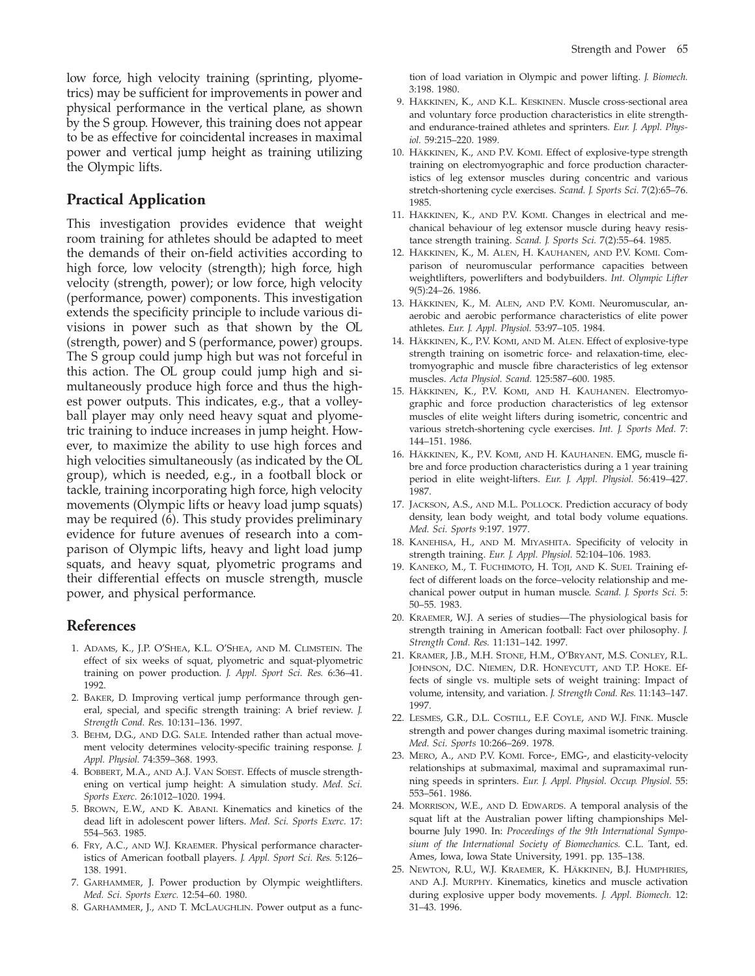low force, high velocity training (sprinting, plyometrics) may be sufficient for improvements in power and physical performance in the vertical plane, as shown by the S group. However, this training does not appear to be as effective for coincidental increases in maximal power and vertical jump height as training utilizing the Olympic lifts.

## **Practical Application**

This investigation provides evidence that weight room training for athletes should be adapted to meet the demands of their on-field activities according to high force, low velocity (strength); high force, high velocity (strength, power); or low force, high velocity (performance, power) components. This investigation extends the specificity principle to include various divisions in power such as that shown by the OL (strength, power) and S (performance, power) groups. The S group could jump high but was not forceful in this action. The OL group could jump high and simultaneously produce high force and thus the highest power outputs. This indicates, e.g., that a volleyball player may only need heavy squat and plyometric training to induce increases in jump height. However, to maximize the ability to use high forces and high velocities simultaneously (as indicated by the OL group), which is needed, e.g., in a football block or tackle, training incorporating high force, high velocity movements (Olympic lifts or heavy load jump squats) may be required (6). This study provides preliminary evidence for future avenues of research into a comparison of Olympic lifts, heavy and light load jump squats, and heavy squat, plyometric programs and their differential effects on muscle strength, muscle power, and physical performance.

## **References**

- 1. ADAMS, K., J.P. O'SHEA, K.L. O'SHEA, AND M. CLIMSTEIN. The effect of six weeks of squat, plyometric and squat-plyometric training on power production. *J. Appl. Sport Sci. Res.* 6:36–41. 1992.
- 2. BAKER, D. Improving vertical jump performance through general, special, and specific strength training: A brief review. *J. Strength Cond. Res.* 10:131–136. 1997.
- 3. BEHM, D.G., AND D.G. SALE. Intended rather than actual movement velocity determines velocity-specific training response. *J. Appl. Physiol.* 74:359–368. 1993.
- 4. BOBBERT, M.A., AND A.J. VAN SOEST. Effects of muscle strengthening on vertical jump height: A simulation study. *Med. Sci. Sports Exerc.* 26:1012–1020. 1994.
- 5. BROWN, E.W., AND K. ABANI. Kinematics and kinetics of the dead lift in adolescent power lifters. *Med. Sci. Sports Exerc.* 17: 554–563. 1985.
- 6. FRY, A.C., AND W.J. KRAEMER. Physical performance characteristics of American football players. *J. Appl. Sport Sci. Res.* 5:126– 138. 1991.
- 7. GARHAMMER, J. Power production by Olympic weightlifters. *Med. Sci. Sports Exerc.* 12:54–60. 1980.
- 8. GARHAMMER, J., AND T. MCLAUGHLIN. Power output as a func-

tion of load variation in Olympic and power lifting. *J. Biomech.* 3:198. 1980.

- 9. HÄKKINEN, K., AND K.L. KESKINEN. Muscle cross-sectional area and voluntary force production characteristics in elite strengthand endurance-trained athletes and sprinters. *Eur. J. Appl. Physiol.* 59:215–220. 1989.
- 10. HÄKKINEN, K., AND P.V. KOMI. Effect of explosive-type strength training on electromyographic and force production characteristics of leg extensor muscles during concentric and various stretch-shortening cycle exercises. *Scand. J. Sports Sci.* 7(2):65–76. 1985.
- 11. HÄKKINEN, K., AND P.V. KOMI. Changes in electrical and mechanical behaviour of leg extensor muscle during heavy resistance strength training. *Scand. J. Sports Sci.* 7(2):55–64. 1985.
- 12. HÄKKINEN, K., M. ALEN, H. KAUHANEN, AND P.V. KOMI. Comparison of neuromuscular performance capacities between weightlifters, powerlifters and bodybuilders. *Int. Olympic Lifter* 9(5):24–26. 1986.
- 13. HÄKKINEN, K., M. ALEN, AND P.V. KOMI. Neuromuscular, anaerobic and aerobic performance characteristics of elite power athletes. *Eur. J. Appl. Physiol.* 53:97–105. 1984.
- 14. HÄKKINEN, K., P.V. KOMI, AND M. ALEN. Effect of explosive-type strength training on isometric force- and relaxation-time, electromyographic and muscle fibre characteristics of leg extensor muscles. *Acta Physiol. Scand.* 125:587–600. 1985.
- 15. HÄKKINEN, K., P.V. KOMI, AND H. KAUHANEN. Electromyographic and force production characteristics of leg extensor muscles of elite weight lifters during isometric, concentric and various stretch-shortening cycle exercises. *Int. J. Sports Med.* 7: 144–151. 1986.
- 16. HÄKKINEN, K., P.V. KOMI, AND H. KAUHANEN. EMG, muscle fibre and force production characteristics during a 1 year training period in elite weight-lifters. *Eur. J. Appl. Physiol.* 56:419–427. 1987.
- 17. JACKSON, A.S., AND M.L. POLLOCK. Prediction accuracy of body density, lean body weight, and total body volume equations. *Med. Sci. Sports* 9:197. 1977.
- 18. KANEHISA, H., AND M. MIYASHITA. Specificity of velocity in strength training. *Eur. J. Appl. Physiol.* 52:104–106. 1983.
- 19. KANEKO, M., T. FUCHIMOTO, H. TOJI, AND K. SUEI. Training effect of different loads on the force–velocity relationship and mechanical power output in human muscle. *Scand. J. Sports Sci.* 5: 50–55. 1983.
- 20. KRAEMER, W.J. A series of studies—The physiological basis for strength training in American football: Fact over philosophy. *J. Strength Cond. Res.* 11:131–142. 1997.
- 21. KRAMER, J.B., M.H. STONE, H.M., O'BRYANT, M.S. CONLEY, R.L. JOHNSON, D.C. NIEMEN, D.R. HONEYCUTT, AND T.P. HOKE. Effects of single vs. multiple sets of weight training: Impact of volume, intensity, and variation. *J. Strength Cond. Res.* 11:143–147. 1997.
- 22. LESMES, G.R., D.L. COSTILL, E.F. COYLE, AND W.J. FINK. Muscle strength and power changes during maximal isometric training. *Med. Sci. Sports* 10:266–269. 1978.
- 23. MERO, A., AND P.V. KOMI. Force-, EMG-, and elasticity-velocity relationships at submaximal, maximal and supramaximal running speeds in sprinters. *Eur. J. Appl. Physiol. Occup. Physiol.* 55: 553–561. 1986.
- 24. MORRISON, W.E., AND D. EDWARDS. A temporal analysis of the squat lift at the Australian power lifting championships Melbourne July 1990. In: *Proceedings of the 9th International Symposium of the International Society of Biomechanics.* C.L. Tant, ed. Ames, Iowa, Iowa State University, 1991. pp. 135–138.
- 25. NEWTON, R.U., W.J. KRAEMER, K. HÄKKINEN, B.J. HUMPHRIES, AND A.J. MURPHY. Kinematics, kinetics and muscle activation during explosive upper body movements. *J. Appl. Biomech.* 12: 31–43. 1996.